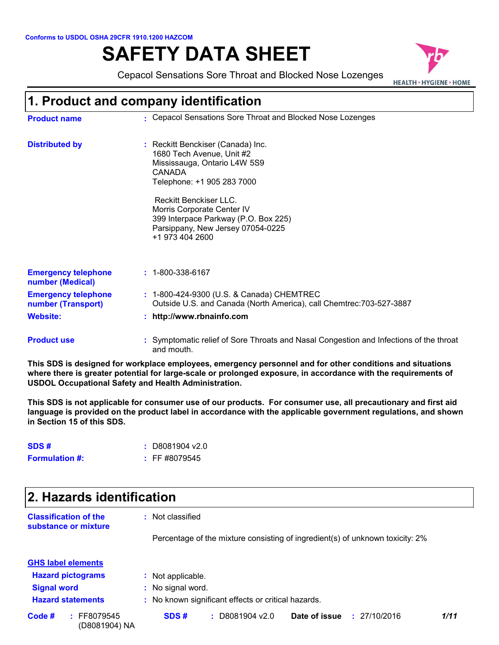#### **Conforms to USDOL OSHA 29CFR 1910.1200 HAZCOM**

# **SAFETY DATA SHEET**



| Conforms to USDOL OSHA 29CFR 1910.1200 HAZCOM    |                                                                                                                                                                       |
|--------------------------------------------------|-----------------------------------------------------------------------------------------------------------------------------------------------------------------------|
|                                                  | <b>SAFETY DATA SHEET</b>                                                                                                                                              |
|                                                  | Cepacol Sensations Sore Throat and Blocked Nose Lozenges<br><b>HEALTH &gt; HYGIENE &gt; HOME</b>                                                                      |
|                                                  | 1. Product and company identification                                                                                                                                 |
| <b>Product name</b>                              | : Cepacol Sensations Sore Throat and Blocked Nose Lozenges                                                                                                            |
| <b>Distributed by</b>                            | Reckitt Benckiser (Canada) Inc.<br>1680 Tech Avenue, Unit #2<br>Mississauga, Ontario L4W 5S9<br>CANADA<br>Telephone: +1 905 283 7000<br><b>Reckitt Benckiser LLC.</b> |
|                                                  | Morris Corporate Center IV<br>399 Interpace Parkway (P.O. Box 225)<br>Parsippany, New Jersey 07054-0225<br>+1 973 404 2600                                            |
| <b>Emergency telephone</b><br>number (Medical)   | $: 1 - 800 - 338 - 6167$                                                                                                                                              |
| <b>Emergency telephone</b><br>number (Transport) | : 1-800-424-9300 (U.S. & Canada) CHEMTREC<br>Outside U.S. and Canada (North America), call Chemtrec: 703-527-3887                                                     |
| <b>Website:</b>                                  | : http://www.rbnainfo.com                                                                                                                                             |
| <b>Product use</b>                               | Symptomatic relief of Sore Throats and Nasal Congestion and Infections of the throat                                                                                  |

and mouth. **This SDS is designed for workplace employees, emergency personnel and for other conditions and situations where there is greater potential for large-scale or prolonged exposure, in accordance with the requirements of** 

**USDOL Occupational Safety and Health Administration.**

**This SDS is not applicable for consumer use of our products. For consumer use, all precautionary and first aid language is provided on the product label in accordance with the applicable government regulations, and shown in Section 15 of this SDS.**

| SDS#                  | $:$ D8081904 v2.0  |
|-----------------------|--------------------|
| <b>Formulation #:</b> | $\div$ FF #8079545 |

| $\sim$ 2009 $\sim$ 0.000 $\sim$ 0.000 $\sim$ 0.000 $\sim$ 0.000 $\sim$ 0.000 $\sim$ 0.000 $\sim$<br>in Section 15 of this SDS. | <u>wood wanto with the application government regarditoitoj and chemic</u>    |
|--------------------------------------------------------------------------------------------------------------------------------|-------------------------------------------------------------------------------|
| SDS#                                                                                                                           | D8081904 v2.0<br>÷.                                                           |
| <b>Formulation #:</b>                                                                                                          | $:$ FF #8079545                                                               |
| 2. Hazards identification                                                                                                      |                                                                               |
| <b>Classification of the</b><br>substance or mixture                                                                           | : Not classified                                                              |
|                                                                                                                                | Percentage of the mixture consisting of ingredient(s) of unknown toxicity: 2% |
| <b>GHS label elements</b>                                                                                                      |                                                                               |
| <b>Hazard pictograms</b>                                                                                                       | : Not applicable.                                                             |
| <b>Signal word</b>                                                                                                             | : No signal word.                                                             |
| <b>Hazard statements</b>                                                                                                       | : No known significant effects or critical hazards.                           |
| : FF8079545<br>Code #<br>(D8081904) NA                                                                                         | Date of issue<br>SDS#<br>$:$ D8081904 v2.0<br>: 27/10/2016<br>1/11            |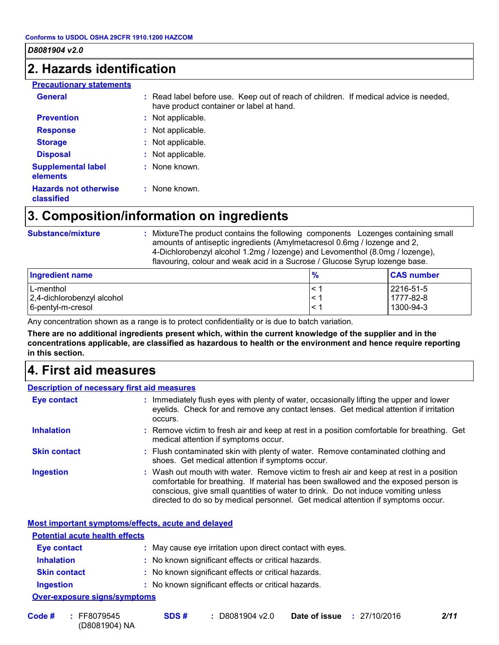### **2. Hazards identification**

| <b>Precautionary statements</b>            |                                                                                                                                  |
|--------------------------------------------|----------------------------------------------------------------------------------------------------------------------------------|
| <b>General</b>                             | : Read label before use. Keep out of reach of children. If medical advice is needed,<br>have product container or label at hand. |
| <b>Prevention</b>                          | : Not applicable.                                                                                                                |
| <b>Response</b>                            | : Not applicable.                                                                                                                |
| <b>Storage</b>                             | Not applicable.<br>÷.                                                                                                            |
| <b>Disposal</b>                            | : Not applicable.                                                                                                                |
| <b>Supplemental label</b><br>elements      | $:$ None known.                                                                                                                  |
| <b>Hazards not otherwise</b><br>classified | $:$ None known.                                                                                                                  |

### **3. Composition/information on ingredients**

| <b>Substance/mixture</b> |  |
|--------------------------|--|
|                          |  |

**Substance/mixture • The Substandian Substandian in Substandian Substance/mixture**  $\cdot$  **<b>:** Mixture The product contain small small small small small small small small small small small small small small small small small s amounts of antiseptic ingredients (Amylmetacresol 0.6mg / lozenge and 2, 4-Dichlorobenzyl alcohol 1.2mg / lozenge) and Levomenthol (8.0mg / lozenge), flavouring, colour and weak acid in a Sucrose / Glucose Syrup lozenge base.

| Ingredient name                                              | 70 | <b>CAS number</b>                   |
|--------------------------------------------------------------|----|-------------------------------------|
| L-menthol<br>2,4-dichlorobenzyl alcohol<br>6-pentyl-m-cresol |    | 2216-51-5<br>1777-82-8<br>1300-94-3 |
|                                                              |    |                                     |

Any concentration shown as a range is to protect confidentiality or is due to batch variation.

**There are no additional ingredients present which, within the current knowledge of the supplier and in the concentrations applicable, are classified as hazardous to health or the environment and hence require reporting in this section.**

### **4. First aid measures**

|                     | <b>Description of necessary first aid measures</b>                                                                                                                                                                                                                                                                                                     |
|---------------------|--------------------------------------------------------------------------------------------------------------------------------------------------------------------------------------------------------------------------------------------------------------------------------------------------------------------------------------------------------|
| <b>Eye contact</b>  | : Immediately flush eyes with plenty of water, occasionally lifting the upper and lower<br>eyelids. Check for and remove any contact lenses. Get medical attention if irritation<br>occurs.                                                                                                                                                            |
| <b>Inhalation</b>   | : Remove victim to fresh air and keep at rest in a position comfortable for breathing. Get<br>medical attention if symptoms occur.                                                                                                                                                                                                                     |
| <b>Skin contact</b> | : Flush contaminated skin with plenty of water. Remove contaminated clothing and<br>shoes. Get medical attention if symptoms occur.                                                                                                                                                                                                                    |
| <b>Ingestion</b>    | : Wash out mouth with water. Remove victim to fresh air and keep at rest in a position<br>comfortable for breathing. If material has been swallowed and the exposed person is<br>conscious, give small quantities of water to drink. Do not induce vomiting unless<br>directed to do so by medical personnel. Get medical attention if symptoms occur. |

| <b>Potential acute health effects</b>                     |
|-----------------------------------------------------------|
| : May cause eye irritation upon direct contact with eyes. |
| : No known significant effects or critical hazards.       |
| : No known significant effects or critical hazards.       |
| : No known significant effects or critical hazards.       |
|                                                           |

(D8081904) NA **Code # : :** D8081904 v2.0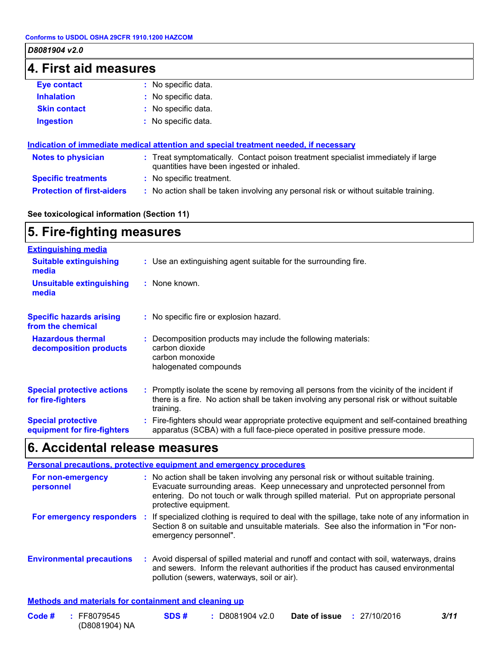### **4. First aid measures**

| <b>Eye contact</b>  | : No specific data. |
|---------------------|---------------------|
| <b>Inhalation</b>   | : No specific data. |
| <b>Skin contact</b> | : No specific data. |
| <b>Ingestion</b>    | : No specific data. |

| Indication of immediate medical attention and special treatment needed, if necessary |                                                                                                                                |  |
|--------------------------------------------------------------------------------------|--------------------------------------------------------------------------------------------------------------------------------|--|
| <b>Notes to physician</b>                                                            | : Treat symptomatically. Contact poison treatment specialist immediately if large<br>quantities have been ingested or inhaled. |  |
| <b>Specific treatments</b>                                                           | : No specific treatment.                                                                                                       |  |
| <b>Protection of first-aiders</b>                                                    | : No action shall be taken involving any personal risk or without suitable training.                                           |  |

### **See toxicological information (Section 11)**

#### **5. Fire-fighting measures :** Promptly isolate the scene by removing all persons from the vicinity of the incident if there is a fire. No action shall be taken involving any personal risk or without suitable training. **Hazardous thermal decomposition products Specific hazards arising from the chemical** Decomposition products may include the following materials: **:** carbon dioxide carbon monoxide halogenated compounds No specific fire or explosion hazard. **:** Use an extinguishing agent suitable for the surrounding fire. **: Extinguishing media :** None known. **Suitable extinguishing media Unsuitable extinguishing media Special protective actions for fire-fighters**

#### Fire-fighters should wear appropriate protective equipment and self-contained breathing **:** apparatus (SCBA) with a full face-piece operated in positive pressure mode. **Special protective equipment for fire-fighters**

### **6. Accidental release measures**

|                                                              |     | Personal precautions, protective equipment and emergency procedures                                                                                                                                                                                                                  |
|--------------------------------------------------------------|-----|--------------------------------------------------------------------------------------------------------------------------------------------------------------------------------------------------------------------------------------------------------------------------------------|
| For non-emergency<br>personnel                               |     | : No action shall be taken involving any personal risk or without suitable training.<br>Evacuate surrounding areas. Keep unnecessary and unprotected personnel from<br>entering. Do not touch or walk through spilled material. Put on appropriate personal<br>protective equipment. |
| For emergency responders                                     | И., | If specialized clothing is required to deal with the spillage, take note of any information in<br>Section 8 on suitable and unsuitable materials. See also the information in "For non-<br>emergency personnel".                                                                     |
| <b>Environmental precautions</b>                             |     | : Avoid dispersal of spilled material and runoff and contact with soil, waterways, drains<br>and sewers. Inform the relevant authorities if the product has caused environmental<br>pollution (sewers, waterways, soil or air).                                                      |
| <b>Methods and materials for containment and cleaning up</b> |     |                                                                                                                                                                                                                                                                                      |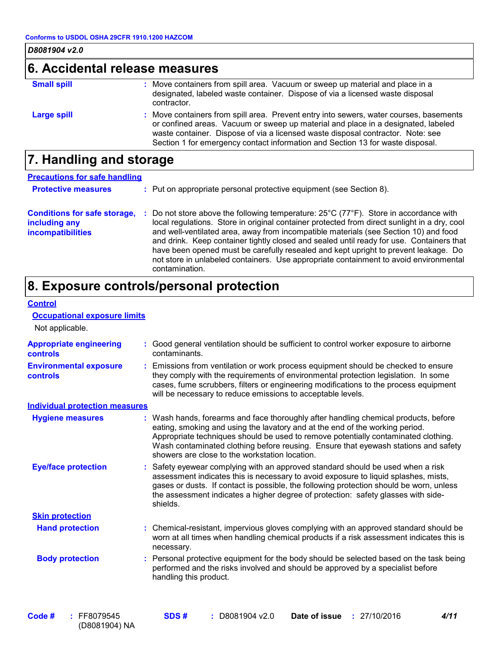**Control**

### **6. Accidental release measures**

| <b>Small spill</b> | : Move containers from spill area. Vacuum or sweep up material and place in a<br>designated, labeled waste container. Dispose of via a licensed waste disposal<br>contractor.                                                                                                                                                                    |
|--------------------|--------------------------------------------------------------------------------------------------------------------------------------------------------------------------------------------------------------------------------------------------------------------------------------------------------------------------------------------------|
| Large spill        | : Move containers from spill area. Prevent entry into sewers, water courses, basements<br>or confined areas. Vacuum or sweep up material and place in a designated, labeled<br>waste container. Dispose of via a licensed waste disposal contractor. Note: see<br>Section 1 for emergency contact information and Section 13 for waste disposal. |

### **7. Handling and storage**

| <b>Precautions for safe handling</b>                                      |   |                                                                                                                                                                                                                                                                                                                                                                                                                                                                                                                                                                                                |  |  |  |
|---------------------------------------------------------------------------|---|------------------------------------------------------------------------------------------------------------------------------------------------------------------------------------------------------------------------------------------------------------------------------------------------------------------------------------------------------------------------------------------------------------------------------------------------------------------------------------------------------------------------------------------------------------------------------------------------|--|--|--|
| <b>Protective measures</b>                                                |   | : Put on appropriate personal protective equipment (see Section 8).                                                                                                                                                                                                                                                                                                                                                                                                                                                                                                                            |  |  |  |
| <b>Conditions for safe storage,</b><br>including any<br>incompatibilities | ÷ | Do not store above the following temperature: $25^{\circ}$ C (77 $^{\circ}$ F). Store in accordance with<br>local regulations. Store in original container protected from direct sunlight in a dry, cool<br>and well-ventilated area, away from incompatible materials (see Section 10) and food<br>and drink. Keep container tightly closed and sealed until ready for use. Containers that<br>have been opened must be carefully resealed and kept upright to prevent leakage. Do<br>not store in unlabeled containers. Use appropriate containment to avoid environmental<br>contamination. |  |  |  |

### **8. Exposure controls/personal protection**

| <b>Occupational exposure limits</b><br>Not applicable. |                                                                                                                                                                                                                                                                                                                                                                                                 |
|--------------------------------------------------------|-------------------------------------------------------------------------------------------------------------------------------------------------------------------------------------------------------------------------------------------------------------------------------------------------------------------------------------------------------------------------------------------------|
| <b>Appropriate engineering</b><br><b>controls</b>      | Good general ventilation should be sufficient to control worker exposure to airborne<br>contaminants.                                                                                                                                                                                                                                                                                           |
| <b>Environmental exposure</b><br><b>controls</b>       | Emissions from ventilation or work process equipment should be checked to ensure<br>they comply with the requirements of environmental protection legislation. In some<br>cases, fume scrubbers, filters or engineering modifications to the process equipment<br>will be necessary to reduce emissions to acceptable levels.                                                                   |
| <b>Individual protection measures</b>                  |                                                                                                                                                                                                                                                                                                                                                                                                 |
| <b>Hygiene measures</b>                                | Wash hands, forearms and face thoroughly after handling chemical products, before<br>eating, smoking and using the lavatory and at the end of the working period.<br>Appropriate techniques should be used to remove potentially contaminated clothing.<br>Wash contaminated clothing before reusing. Ensure that eyewash stations and safety<br>showers are close to the workstation location. |
| <b>Eye/face protection</b>                             | Safety eyewear complying with an approved standard should be used when a risk<br>assessment indicates this is necessary to avoid exposure to liquid splashes, mists,<br>gases or dusts. If contact is possible, the following protection should be worn, unless<br>the assessment indicates a higher degree of protection: safety glasses with side-<br>shields.                                |
| <b>Skin protection</b>                                 |                                                                                                                                                                                                                                                                                                                                                                                                 |
| <b>Hand protection</b>                                 | : Chemical-resistant, impervious gloves complying with an approved standard should be<br>worn at all times when handling chemical products if a risk assessment indicates this is<br>necessary.                                                                                                                                                                                                 |
| <b>Body protection</b>                                 | Personal protective equipment for the body should be selected based on the task being<br>÷.<br>performed and the risks involved and should be approved by a specialist before<br>handling this product.                                                                                                                                                                                         |
|                                                        |                                                                                                                                                                                                                                                                                                                                                                                                 |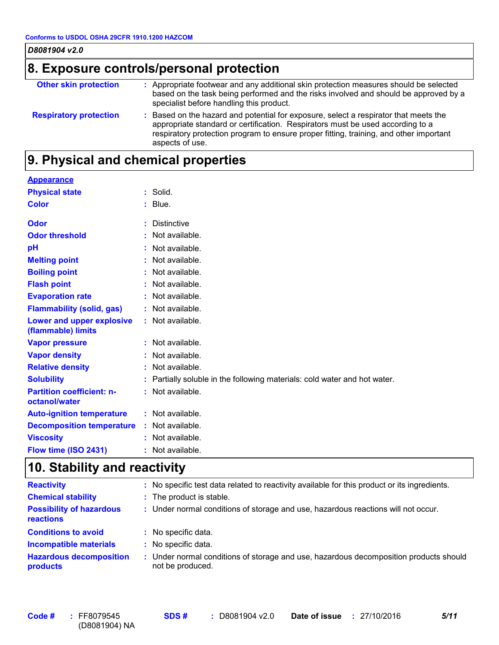| D8081904 v2.0                            |                                                                                                                                                                                                                                                                                     |  |  |  |
|------------------------------------------|-------------------------------------------------------------------------------------------------------------------------------------------------------------------------------------------------------------------------------------------------------------------------------------|--|--|--|
| 8. Exposure controls/personal protection |                                                                                                                                                                                                                                                                                     |  |  |  |
| <b>Other skin protection</b>             | : Appropriate footwear and any additional skin protection measures should be selected<br>based on the task being performed and the risks involved and should be approved by a<br>specialist before handling this product.                                                           |  |  |  |
| <b>Respiratory protection</b>            | : Based on the hazard and potential for exposure, select a respirator that meets the<br>appropriate standard or certification. Respirators must be used according to a<br>respiratory protection program to ensure proper fitting, training, and other important<br>aspects of use. |  |  |  |

### **9. Physical and chemical properties**

### **Appearance**

| <b>Physical state</b>                             | : Solid.                                                                  |
|---------------------------------------------------|---------------------------------------------------------------------------|
| <b>Color</b>                                      | $:$ Blue.                                                                 |
| Odor                                              | <b>Distinctive</b>                                                        |
| <b>Odor threshold</b>                             | : Not available.                                                          |
| pH                                                | : Not available.                                                          |
| <b>Melting point</b>                              | : Not available.                                                          |
| <b>Boiling point</b>                              | : Not available.                                                          |
| <b>Flash point</b>                                | : Not available.                                                          |
| <b>Evaporation rate</b>                           | : Not available.                                                          |
| <b>Flammability (solid, gas)</b>                  | : Not available.                                                          |
| Lower and upper explosive<br>(flammable) limits   | : Not available.                                                          |
| <b>Vapor pressure</b>                             | : Not available.                                                          |
| <b>Vapor density</b>                              | : Not available.                                                          |
| <b>Relative density</b>                           | : Not available.                                                          |
| <b>Solubility</b>                                 | : Partially soluble in the following materials: cold water and hot water. |
| <b>Partition coefficient: n-</b><br>octanol/water | : Not available.                                                          |
| <b>Auto-ignition temperature</b>                  | : Not available.                                                          |
| <b>Decomposition temperature</b>                  | : Not available.                                                          |
| <b>Viscosity</b>                                  | : Not available.                                                          |
| Flow time (ISO 2431)                              | : Not available.                                                          |

## **10. Stability and reactivity**

| <b>Reactivity</b>                                   | No specific test data related to reactivity available for this product or its ingredients.                |
|-----------------------------------------------------|-----------------------------------------------------------------------------------------------------------|
| <b>Chemical stability</b>                           | : The product is stable.                                                                                  |
| <b>Possibility of hazardous</b><br><b>reactions</b> | : Under normal conditions of storage and use, hazardous reactions will not occur.                         |
| <b>Conditions to avoid</b>                          | No specific data.                                                                                         |
| <b>Incompatible materials</b>                       | No specific data.                                                                                         |
| <b>Hazardous decomposition</b><br>products          | : Under normal conditions of storage and use, hazardous decomposition products should<br>not be produced. |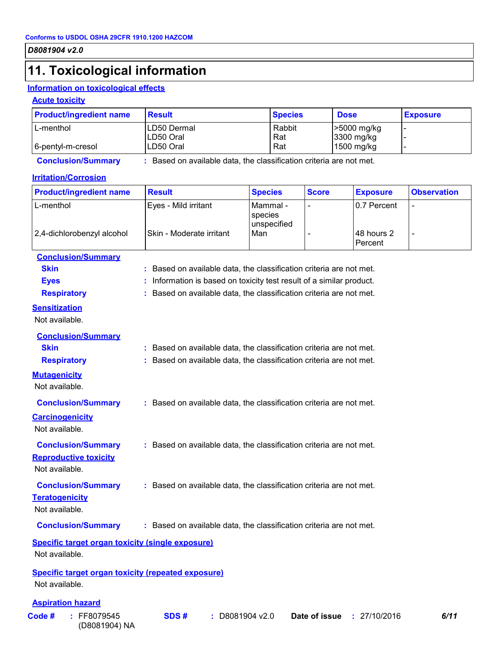### **11. Toxicological information**

### **Information on toxicological effects**

(D8081904) NA

### **Acute toxicity**

| <b>Product/ingredient name</b> | <b>Result</b>            | <b>Species</b> | <b>Dose</b>               | <b>Exposure</b> |
|--------------------------------|--------------------------|----------------|---------------------------|-----------------|
| L-menthol                      | LD50 Dermal<br>LD50 Oral | Rabbit<br>Rat  | -5000 mg/kg<br>3300 mg/kg |                 |
| 6-pentyl-m-cresol              | LD50 Oral                | Rat            | 1500 mg/kg                |                 |

**Conclusion/Summary :** Based on available data, the classification criteria are not met.

### **Irritation/Corrosion**

| <b>Product/ingredient name</b>                                       | <b>Result</b>                                                        | <b>Species</b>                     | <b>Score</b>  | <b>Exposure</b>       | <b>Observation</b> |
|----------------------------------------------------------------------|----------------------------------------------------------------------|------------------------------------|---------------|-----------------------|--------------------|
| L-menthol                                                            | Eyes - Mild irritant                                                 | Mammal -<br>species<br>unspecified |               | 0.7 Percent           |                    |
| 2,4-dichlorobenzyl alcohol                                           | Skin - Moderate irritant                                             | Man                                |               | 48 hours 2<br>Percent | -                  |
| <b>Conclusion/Summary</b>                                            |                                                                      |                                    |               |                       |                    |
| <b>Skin</b>                                                          | : Based on available data, the classification criteria are not met.  |                                    |               |                       |                    |
| <b>Eyes</b>                                                          | : Information is based on toxicity test result of a similar product. |                                    |               |                       |                    |
| <b>Respiratory</b>                                                   | : Based on available data, the classification criteria are not met.  |                                    |               |                       |                    |
| <b>Sensitization</b>                                                 |                                                                      |                                    |               |                       |                    |
| Not available.                                                       |                                                                      |                                    |               |                       |                    |
| <b>Conclusion/Summary</b>                                            |                                                                      |                                    |               |                       |                    |
| <b>Skin</b>                                                          | : Based on available data, the classification criteria are not met.  |                                    |               |                       |                    |
| <b>Respiratory</b>                                                   | : Based on available data, the classification criteria are not met.  |                                    |               |                       |                    |
| <b>Mutagenicity</b><br>Not available.                                |                                                                      |                                    |               |                       |                    |
|                                                                      |                                                                      |                                    |               |                       |                    |
| <b>Conclusion/Summary</b>                                            | : Based on available data, the classification criteria are not met.  |                                    |               |                       |                    |
| <b>Carcinogenicity</b>                                               |                                                                      |                                    |               |                       |                    |
| Not available.                                                       |                                                                      |                                    |               |                       |                    |
| <b>Conclusion/Summary</b>                                            | : Based on available data, the classification criteria are not met.  |                                    |               |                       |                    |
| <b>Reproductive toxicity</b>                                         |                                                                      |                                    |               |                       |                    |
| Not available.                                                       |                                                                      |                                    |               |                       |                    |
| <b>Conclusion/Summary</b>                                            | : Based on available data, the classification criteria are not met.  |                                    |               |                       |                    |
| <b>Teratogenicity</b>                                                |                                                                      |                                    |               |                       |                    |
| Not available.                                                       |                                                                      |                                    |               |                       |                    |
| <b>Conclusion/Summary</b>                                            | : Based on available data, the classification criteria are not met.  |                                    |               |                       |                    |
| <b>Specific target organ toxicity (single exposure)</b>              |                                                                      |                                    |               |                       |                    |
| Not available.                                                       |                                                                      |                                    |               |                       |                    |
| Specific target organ toxicity (repeated exposure)<br>Not available. |                                                                      |                                    |               |                       |                    |
| <b>Aspiration hazard</b>                                             |                                                                      |                                    |               |                       |                    |
| Code#<br>: FF8079545                                                 | SDS#<br>÷.                                                           | D8081904 v2.0                      | Date of issue | : 27/10/2016          | 6/11               |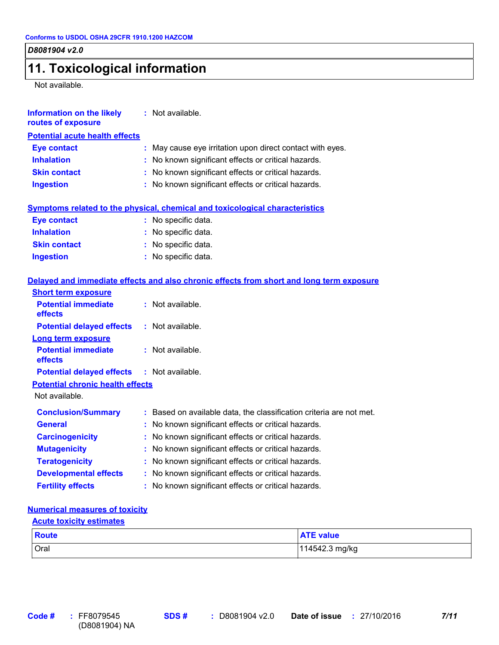### **11. Toxicological information**

Not available.

| <b>Information on the likely</b><br>routes of exposure | : Not available.                                                                         |
|--------------------------------------------------------|------------------------------------------------------------------------------------------|
| <b>Potential acute health effects</b>                  |                                                                                          |
| <b>Eye contact</b>                                     | : May cause eye irritation upon direct contact with eyes.                                |
| <b>Inhalation</b>                                      | : No known significant effects or critical hazards.                                      |
| <b>Skin contact</b>                                    | : No known significant effects or critical hazards.                                      |
| <b>Ingestion</b>                                       | : No known significant effects or critical hazards.                                      |
|                                                        | Symptoms related to the physical, chemical and toxicological characteristics             |
| <b>Eye contact</b>                                     | : No specific data.                                                                      |
| <b>Inhalation</b>                                      | : No specific data.                                                                      |
| <b>Skin contact</b>                                    | : No specific data.                                                                      |
| <b>Ingestion</b>                                       | : No specific data.                                                                      |
| <b>Short term exposure</b>                             | Delayed and immediate effects and also chronic effects from short and long term exposure |
| <b>Potential immediate</b><br>effects                  | : Not available.                                                                         |
| <b>Potential delayed effects</b>                       | : Not available.                                                                         |
| <b>Long term exposure</b>                              |                                                                                          |
| <b>Potential immediate</b><br>effects                  | : Not available.                                                                         |
| <b>Potential delayed effects</b>                       | : Not available.                                                                         |
| <b>Potential chronic health effects</b>                |                                                                                          |
| Not available.                                         |                                                                                          |
| <b>Conclusion/Summary</b>                              | : Based on available data, the classification criteria are not met.                      |
| <b>General</b>                                         | : No known significant effects or critical hazards.                                      |
| <b>Carcinogenicity</b>                                 | No known significant effects or critical hazards.                                        |
| <b>Mutagenicity</b>                                    | No known significant effects or critical hazards.                                        |
| <b>Teratogenicity</b>                                  | : No known significant effects or critical hazards.                                      |
| <b>Developmental effects</b>                           | : No known significant effects or critical hazards.                                      |
| <b>Fertility effects</b>                               | : No known significant effects or critical hazards.                                      |

### **Numerical measures of toxicity**

| <b>Acute toxicity estimates</b> |                  |  |  |
|---------------------------------|------------------|--|--|
| <b>Route</b>                    | <b>ATE value</b> |  |  |
| Oral                            | 114542.3 mg/kg   |  |  |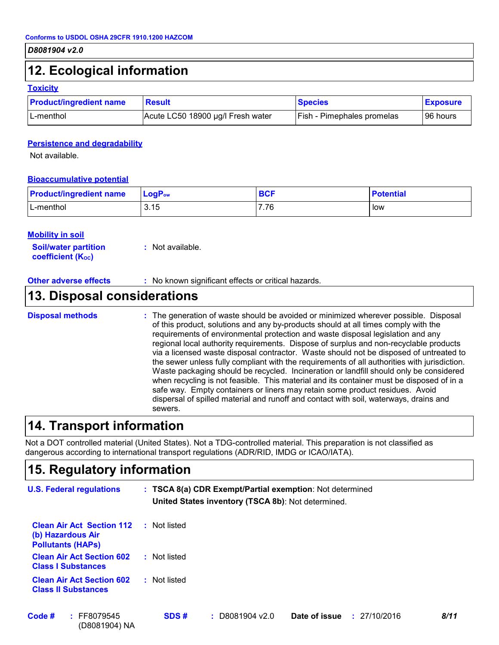### **12. Ecological information**

#### **Toxicity**

| <b>Product/ingredient name</b> | <b>Result</b>                     | <b>Species</b>                    | <b>Exposure</b> |
|--------------------------------|-----------------------------------|-----------------------------------|-----------------|
| L-menthol                      | Acute LC50 18900 µg/l Fresh water | <b>Fish - Pimephales promelas</b> | 96 hours        |

#### **Persistence and degradability**

Not available.

#### **Bioaccumulative potential**

| <b>Product/ingredient name</b> | $LogP_{ow}$ | <b>BCF</b> | <b>Potential</b> |
|--------------------------------|-------------|------------|------------------|
| L-menthol                      | 3.15        | 7.76∴      | low              |

#### **Mobility in soil**

**Soil/water partition coefficient (KOC) :** Not available.

#### **Other adverse effects :** No known significant effects or critical hazards.

### **13. Disposal considerations**

The generation of waste should be avoided or minimized wherever possible. Disposal of this product, solutions and any by-products should at all times comply with the requirements of environmental protection and waste disposal legislation and any regional local authority requirements. Dispose of surplus and non-recyclable products via a licensed waste disposal contractor. Waste should not be disposed of untreated to the sewer unless fully compliant with the requirements of all authorities with jurisdiction. Waste packaging should be recycled. Incineration or landfill should only be considered when recycling is not feasible. This material and its container must be disposed of in a safe way. Empty containers or liners may retain some product residues. Avoid dispersal of spilled material and runoff and contact with soil, waterways, drains and sewers. **Disposal methods :**

### **14. Transport information**

Not a DOT controlled material (United States). Not a TDG-controlled material. This preparation is not classified as dangerous according to international transport regulations (ADR/RID, IMDG or ICAO/IATA).

### **15. Regulatory information**

(D8081904) NA

| <b>U.S. Federal regulations</b>                                                   |              | : TSCA 8(a) CDR Exempt/Partial exemption: Not determined<br>United States inventory (TSCA 8b): Not determined. |                               |      |  |  |
|-----------------------------------------------------------------------------------|--------------|----------------------------------------------------------------------------------------------------------------|-------------------------------|------|--|--|
| <b>Clean Air Act Section 112</b><br>(b) Hazardous Air<br><b>Pollutants (HAPs)</b> | : Not listed |                                                                                                                |                               |      |  |  |
| <b>Clean Air Act Section 602</b><br><b>Class I Substances</b>                     | : Not listed |                                                                                                                |                               |      |  |  |
| <b>Clean Air Act Section 602</b><br><b>Class II Substances</b>                    | : Not listed |                                                                                                                |                               |      |  |  |
| Code #<br>: FF8079545                                                             | SDS#         | $:$ D8081904 v2.0                                                                                              | Date of issue<br>: 27/10/2016 | 8/11 |  |  |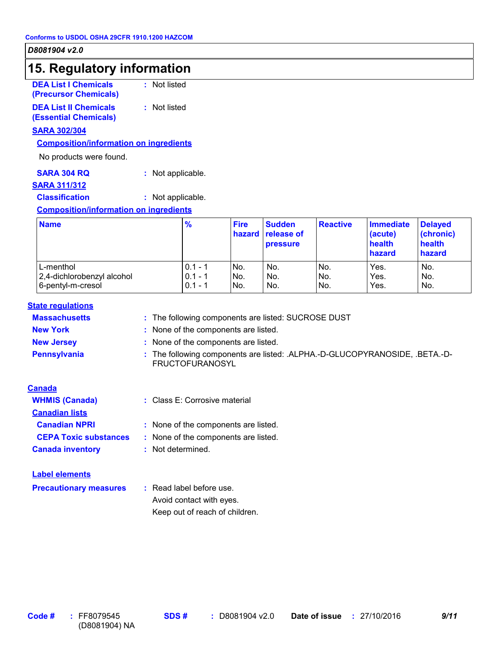### **15. Regulatory information**

| <b>DEA List I Chemicals</b> | : Not listed |
|-----------------------------|--------------|
| (Precursor Chemicals)       |              |

**DEA List II Chemicals (Essential Chemicals) :** Not listed

#### **SARA 302/304**

### **Composition/information on ingredients**

No products were found.

| <b>SARA 304 RQ</b> | : Not applicable. |
|--------------------|-------------------|
|--------------------|-------------------|

#### **SARA 311/312**

**Classification :** Not applicable.

#### **Composition/information on ingredients**

| <b>Name</b>                | $\frac{9}{6}$ | <b>Fire</b> | <b>Sudden</b><br><b>hazard</b> release of<br><b>pressure</b> | <b>Reactive</b> | <b>Immediate</b><br>(acute)<br>health<br>hazard | <b>Delayed</b><br>(chronic)<br>health<br>hazard |
|----------------------------|---------------|-------------|--------------------------------------------------------------|-----------------|-------------------------------------------------|-------------------------------------------------|
| L-menthol                  | $0.1 - 1$     | No.         | No.                                                          | No.             | Yes.                                            | No.                                             |
| 2,4-dichlorobenzyl alcohol | $0.1 - 1$     | No.         | No.                                                          | No.             | Yes.                                            | No.                                             |
| 6-pentyl-m-cresol          | $0.1 - 1$     | No.         | No.                                                          | No.             | Yes.                                            | No.                                             |

#### **State regulations**

| <b>Massachusetts</b> | : The following components are listed: SUCROSE DUST                                                   |
|----------------------|-------------------------------------------------------------------------------------------------------|
| <b>New York</b>      | : None of the components are listed.                                                                  |
| <b>New Jersey</b>    | : None of the components are listed.                                                                  |
| <b>Pennsylvania</b>  | : The following components are listed: .ALPHA.-D-GLUCOPYRANOSIDE, .BETA.-D-<br><b>FRUCTOFURANOSYL</b> |

#### **Canada**

| <b>WHMIS (Canada)</b>        | : Class E: Corrosive material        |
|------------------------------|--------------------------------------|
| <b>Canadian lists</b>        |                                      |
| <b>Canadian NPRI</b>         | : None of the components are listed. |
| <b>CEPA Toxic substances</b> | : None of the components are listed. |
| <b>Canada inventory</b>      | : Not determined.                    |

#### **Label elements**

**Precautionary measures :** Read label before use. Avoid contact with eyes.

Keep out of reach of children.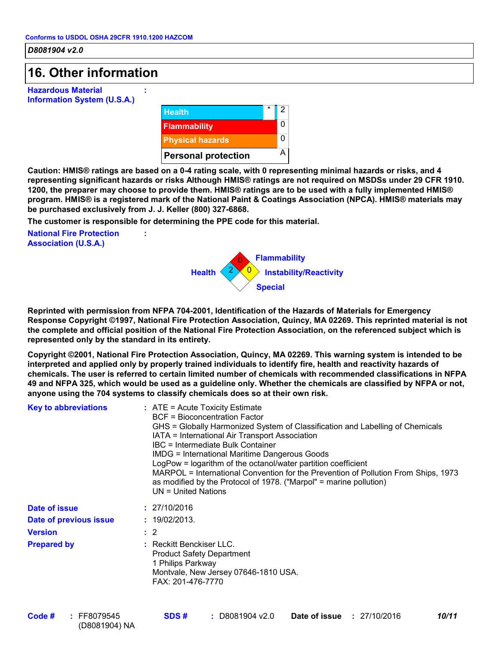### **16. Other information**

**Hazardous Material Information System (U.S.A.)**



**Caution: HMIS® ratings are based on a 0-4 rating scale, with 0 representing minimal hazards or risks, and 4 representing significant hazards or risks Although HMIS® ratings are not required on MSDSs under 29 CFR 1910. 1200, the preparer may choose to provide them. HMIS® ratings are to be used with a fully implemented HMIS® program. HMIS® is a registered mark of the National Paint & Coatings Association (NPCA). HMIS® materials may be purchased exclusively from J. J. Keller (800) 327-6868.**

**The customer is responsible for determining the PPE code for this material.**

**:**

**:**

**National Fire Protection Association (U.S.A.)**



**Reprinted with permission from NFPA 704-2001, Identification of the Hazards of Materials for Emergency Response Copyright ©1997, National Fire Protection Association, Quincy, MA 02269. This reprinted material is not the complete and official position of the National Fire Protection Association, on the referenced subject which is represented only by the standard in its entirety.**

**Copyright ©2001, National Fire Protection Association, Quincy, MA 02269. This warning system is intended to be interpreted and applied only by properly trained individuals to identify fire, health and reactivity hazards of chemicals. The user is referred to certain limited number of chemicals with recommended classifications in NFPA 49 and NFPA 325, which would be used as a guideline only. Whether the chemicals are classified by NFPA or not, anyone using the 704 systems to classify chemicals does so at their own risk.**

| <b>Key to abbreviations</b> | $:$ ATE = Acute Toxicity Estimate<br>BCF = Bioconcentration Factor<br>GHS = Globally Harmonized System of Classification and Labelling of Chemicals<br>IATA = International Air Transport Association<br>IBC = Intermediate Bulk Container<br><b>IMDG = International Maritime Dangerous Goods</b><br>LogPow = logarithm of the octanol/water partition coefficient<br>MARPOL = International Convention for the Prevention of Pollution From Ships, 1973<br>as modified by the Protocol of 1978. ("Marpol" = marine pollution)<br>$UN = United Nations$ |
|-----------------------------|----------------------------------------------------------------------------------------------------------------------------------------------------------------------------------------------------------------------------------------------------------------------------------------------------------------------------------------------------------------------------------------------------------------------------------------------------------------------------------------------------------------------------------------------------------|
| Date of issue               | : 27/10/2016                                                                                                                                                                                                                                                                                                                                                                                                                                                                                                                                             |
| Date of previous issue      | : 19/02/2013.                                                                                                                                                                                                                                                                                                                                                                                                                                                                                                                                            |
| Version                     | $\therefore$ 2                                                                                                                                                                                                                                                                                                                                                                                                                                                                                                                                           |
| <b>Prepared by</b>          | : Reckitt Benckiser LLC.<br><b>Product Safety Department</b><br>1 Philips Parkway<br>Montvale, New Jersey 07646-1810 USA.<br>FAX: 201-476-7770                                                                                                                                                                                                                                                                                                                                                                                                           |